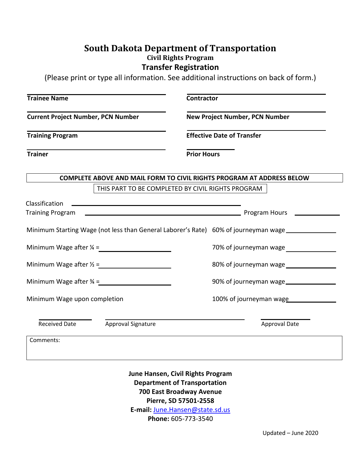## **South Dakota Department of Transportation Civil Rights Program Transfer Registration**

(Please print or type all information. See additional instructions on back of form.)

| <b>Trainee Name</b><br><b>Current Project Number, PCN Number</b><br><b>Training Program</b><br><b>Trainer</b> |                    | <b>Contractor</b>                                                                                |                                                                                                                                                                                                                                      |  |  |                                                   |  |                                                                              |
|---------------------------------------------------------------------------------------------------------------|--------------------|--------------------------------------------------------------------------------------------------|--------------------------------------------------------------------------------------------------------------------------------------------------------------------------------------------------------------------------------------|--|--|---------------------------------------------------|--|------------------------------------------------------------------------------|
|                                                                                                               |                    | <b>New Project Number, PCN Number</b><br><b>Effective Date of Transfer</b><br><b>Prior Hours</b> |                                                                                                                                                                                                                                      |  |  |                                                   |  |                                                                              |
|                                                                                                               |                    |                                                                                                  |                                                                                                                                                                                                                                      |  |  |                                                   |  | <b>COMPLETE ABOVE AND MAIL FORM TO CIVIL RIGHTS PROGRAM AT ADDRESS BELOW</b> |
|                                                                                                               |                    |                                                                                                  |                                                                                                                                                                                                                                      |  |  | THIS PART TO BE COMPLETED BY CIVIL RIGHTS PROGRAM |  |                                                                              |
| Classification                                                                                                |                    |                                                                                                  |                                                                                                                                                                                                                                      |  |  |                                                   |  |                                                                              |
|                                                                                                               |                    |                                                                                                  | Training Program <b>Training Program Account Contract Contract Contract Contract Contract Contract Contract Contract Contract Contract Contract Contract Contract Contract Contract Contract Contract Contract Contract Contract</b> |  |  |                                                   |  |                                                                              |
|                                                                                                               |                    |                                                                                                  | Minimum Starting Wage (not less than General Laborer's Rate) 60% of journeyman wage _______________                                                                                                                                  |  |  |                                                   |  |                                                                              |
|                                                                                                               |                    |                                                                                                  |                                                                                                                                                                                                                                      |  |  |                                                   |  |                                                                              |
| Minimum Wage after $\frac{1}{2}$ =                                                                            |                    |                                                                                                  | 80% of journeyman wage                                                                                                                                                                                                               |  |  |                                                   |  |                                                                              |
|                                                                                                               |                    |                                                                                                  | 90% of journeyman wage                                                                                                                                                                                                               |  |  |                                                   |  |                                                                              |
| Minimum Wage upon completion                                                                                  |                    |                                                                                                  | 100% of journeyman wage                                                                                                                                                                                                              |  |  |                                                   |  |                                                                              |
| <b>Received Date</b>                                                                                          | Approval Signature |                                                                                                  | <b>Approval Date</b>                                                                                                                                                                                                                 |  |  |                                                   |  |                                                                              |
| Comments:                                                                                                     |                    |                                                                                                  |                                                                                                                                                                                                                                      |  |  |                                                   |  |                                                                              |

**June Hansen, Civil Rights Program Department of Transportation 700 East Broadway Avenue Pierre, SD 57501-2558 E-mail:** [June.Hansen@state.sd.us](mailto:June.Hansen@state.sd.us) **Phone:** 605-773-3540